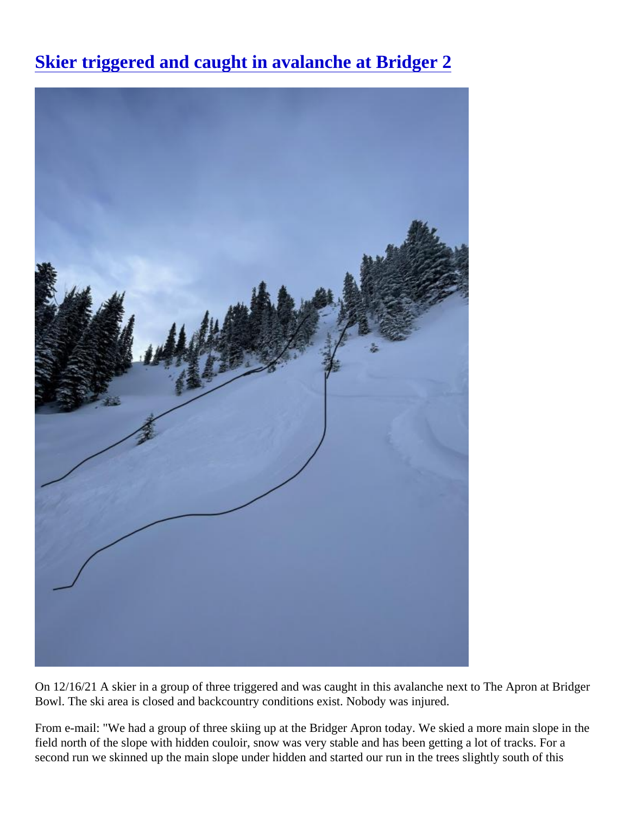[Skier triggered and caught in avalanche at Bridger](https://www.mtavalanche.com/images/21/skier-triggered-and-caught-avalanche-bridger-2) 2

On 12/16/21 A skier in a group of three triggered and was caught in this avalanche next to The Apron at Bridg Bowl. The ski area is closed and backcountry conditions exist. Nobody was injured.

From e-mail: "We had a group of three skiing up at the Bridger Apron today. We skied a more main slope in the field north of the slope with hidden couloir, snow was very stable and has been getting a lot of tracks. For a second run we skinned up the main slope under hidden and started our run in the trees slightly south of this